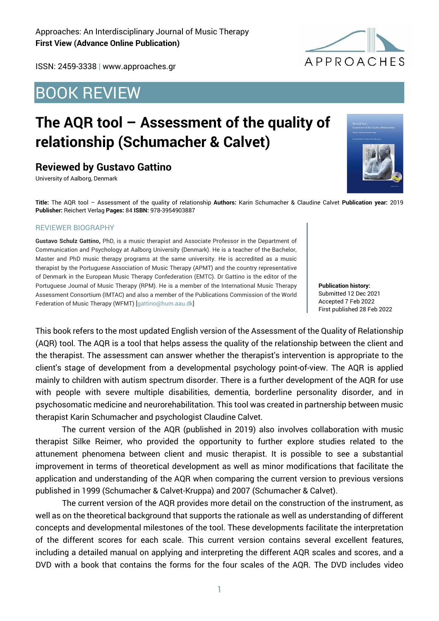ISSN: 2459-3338 | www.approaches.gr

## BOOK REVIEW

# **The AQR tool – Assessment of the quality of relationship (Schumacher & Calvet)**

### **Reviewed by Gustavo Gattino**

University of Aalborg, Denmark

**Title:** The AQR tool – Assessment of the quality of relationship **Authors:** Karin Schumacher & Claudine Calvet **Publication year:** 2019 **Publisher:** Reichert Verlag **Pages:** 84 **ISBN:** 978-3954903887

#### REVIEWER BIOGRAPHY

**Gustavo Schulz Gattino,** PhD, is a music therapist and Associate Professor in the Department of Communication and Psychology at Aalborg University (Denmark). He is a teacher of the Bachelor, Master and PhD music therapy programs at the same university. He is accredited as a music therapist by the Portuguese Association of Music Therapy (APMT) and the country representative of Denmark in the European Music Therapy Confederation (EMTC). Dr Gattino is the editor of the Portuguese Journal of Music Therapy (RPM). He is a member of the International Music Therapy Assessment Consortium (IMTAC) and also a member of the Publications Commission of the World Federation of Music Therapy (WFMT) [gattino@hum.aau.dk]

**Publication history:**  Submitted 12 Dec 2021 Accepted 7 Feb 2022 First published 28 Feb 2022

This book refers to the most updated English version of the Assessment of the Quality of Relationship (AQR) tool. The AQR is a tool that helps assess the quality of the relationship between the client and the therapist. The assessment can answer whether the therapist's intervention is appropriate to the client's stage of development from a developmental psychology point-of-view. The AQR is applied mainly to children with autism spectrum disorder. There is a further development of the AQR for use with people with severe multiple disabilities, dementia, borderline personality disorder, and in psychosomatic medicine and neurorehabilitation. This tool was created in partnership between music therapist Karin Schumacher and psychologist Claudine Calvet.

The current version of the AQR (published in 2019) also involves collaboration with music therapist Silke Reimer, who provided the opportunity to further explore studies related to the attunement phenomena between client and music therapist. It is possible to see a substantial improvement in terms of theoretical development as well as minor modifications that facilitate the application and understanding of the AQR when comparing the current version to previous versions published in 1999 (Schumacher & Calvet-Kruppa) and 2007 (Schumacher & Calvet).

The current version of the AQR provides more detail on the construction of the instrument, as well as on the theoretical background that supports the rationale as well as understanding of different concepts and developmental milestones of the tool. These developments facilitate the interpretation of the different scores for each scale. This current version contains several excellent features, including a detailed manual on applying and interpreting the different AQR scales and scores, and a DVD with a book that contains the forms for the four scales of the AQR. The DVD includes video



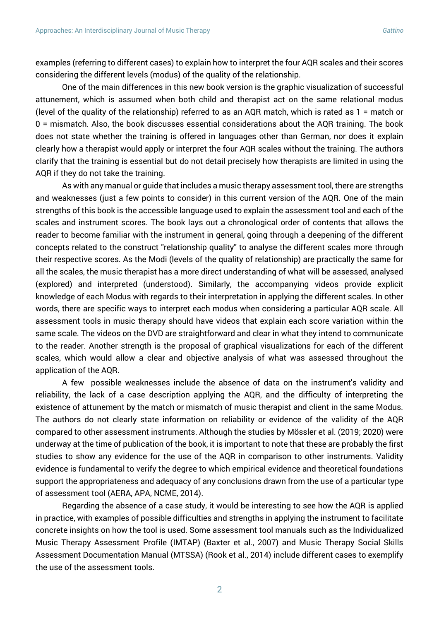examples (referring to different cases) to explain how to interpret the four AQR scales and their scores considering the different levels (modus) of the quality of the relationship.

One of the main differences in this new book version is the graphic visualization of successful attunement, which is assumed when both child and therapist act on the same relational modus (level of the quality of the relationship) referred to as an AQR match, which is rated as 1 = match or 0 = mismatch. Also, the book discusses essential considerations about the AQR training. The book does not state whether the training is offered in languages other than German, nor does it explain clearly how a therapist would apply or interpret the four AQR scales without the training. The authors clarify that the training is essential but do not detail precisely how therapists are limited in using the AQR if they do not take the training.

As with any manual or guide that includes a music therapy assessment tool, there are strengths and weaknesses (just a few points to consider) in this current version of the AQR. One of the main strengths of this book is the accessible language used to explain the assessment tool and each of the scales and instrument scores. The book lays out a chronological order of contents that allows the reader to become familiar with the instrument in general, going through a deepening of the different concepts related to the construct "relationship quality" to analyse the different scales more through their respective scores. As the Modi (levels of the quality of relationship) are practically the same for all the scales, the music therapist has a more direct understanding of what will be assessed, analysed (explored) and interpreted (understood). Similarly, the accompanying videos provide explicit knowledge of each Modus with regards to their interpretation in applying the different scales. In other words, there are specific ways to interpret each modus when considering a particular AQR scale. All assessment tools in music therapy should have videos that explain each score variation within the same scale. The videos on the DVD are straightforward and clear in what they intend to communicate to the reader. Another strength is the proposal of graphical visualizations for each of the different scales, which would allow a clear and objective analysis of what was assessed throughout the application of the AQR.

A few possible weaknesses include the absence of data on the instrument's validity and reliability, the lack of a case description applying the AQR, and the difficulty of interpreting the existence of attunement by the match or mismatch of music therapist and client in the same Modus. The authors do not clearly state information on reliability or evidence of the validity of the AQR compared to other assessment instruments. Although the studies by Mössler et al. (2019; 2020) were underway at the time of publication of the book, it is important to note that these are probably the first studies to show any evidence for the use of the AQR in comparison to other instruments. Validity evidence is fundamental to verify the degree to which empirical evidence and theoretical foundations support the appropriateness and adequacy of any conclusions drawn from the use of a particular type of assessment tool (AERA, APA, NCME, 2014).

Regarding the absence of a case study, it would be interesting to see how the AQR is applied in practice, with examples of possible difficulties and strengths in applying the instrument to facilitate concrete insights on how the tool is used. Some assessment tool manuals such as the Individualized Music Therapy Assessment Profile (IMTAP) (Baxter et al., 2007) and Music Therapy Social Skills Assessment Documentation Manual (MTSSA) (Rook et al., 2014) include different cases to exemplify the use of the assessment tools.